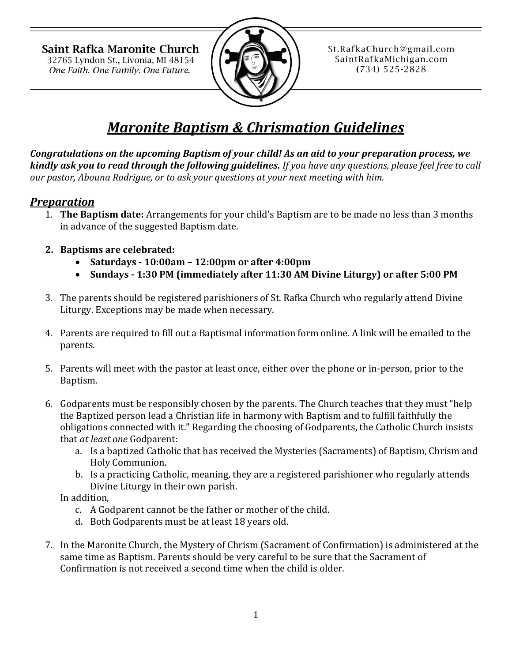Saint Rafka Maronite Church 32765 Lyndon St., Livonia, MI 48154 One Faith. One Family. One Future.



St.RafkaChurch@gmail.com SaintRafkaMichigan.com  $(734) 525 - 2828$ 

# *Maronite Baptism & Chrismation Guidelines*

*Congratulations on the upcoming Baptism of your child! As an aid to your preparation process, we kindly ask you to read through the following guidelines. If you have any questions, please feel free to call our pastor, Abouna Rodrigue, or to ask your questions at your next meeting with him.*

## *Preparation*

- 1. **The Baptism date:** Arrangements for your child's Baptism are to be made no less than 3 months in advance of the suggested Baptism date.
- **2. Baptisms are celebrated:** 
	- **Saturdays - 10:00am – 12:00pm or after 4:00pm**
	- **Sundays - 1:30 PM (immediately after 11:30 AM Divine Liturgy) or after 5:00 PM**
- 3. The parents should be registered parishioners of St. Rafka Church who regularly attend Divine Liturgy. Exceptions may be made when necessary.
- 4. Parents are required to fill out a Baptismal information form online. A link will be emailed to the parents.
- 5. Parents will meet with the pastor at least once, either over the phone or in-person, prior to the Baptism.
- 6. Godparents must be responsibly chosen by the parents. The Church teaches that they must "help the Baptized person lead a Christian life in harmony with Baptism and to fulfill faithfully the obligations connected with it." Regarding the choosing of Godparents, the Catholic Church insists that *at least one* Godparent:
	- a. Is a baptized Catholic that has received the Mysteries (Sacraments) of Baptism, Chrism and Holy Communion.
	- b. Is a practicing Catholic, meaning, they are a registered parishioner who regularly attends Divine Liturgy in their own parish.

In addition,

- c. A Godparent cannot be the father or mother of the child.
- d. Both Godparents must be at least 18 years old.
- 7. In the Maronite Church, the Mystery of Chrism (Sacrament of Confirmation) is administered at the same time as Baptism. Parents should be very careful to be sure that the Sacrament of Confirmation is not received a second time when the child is older.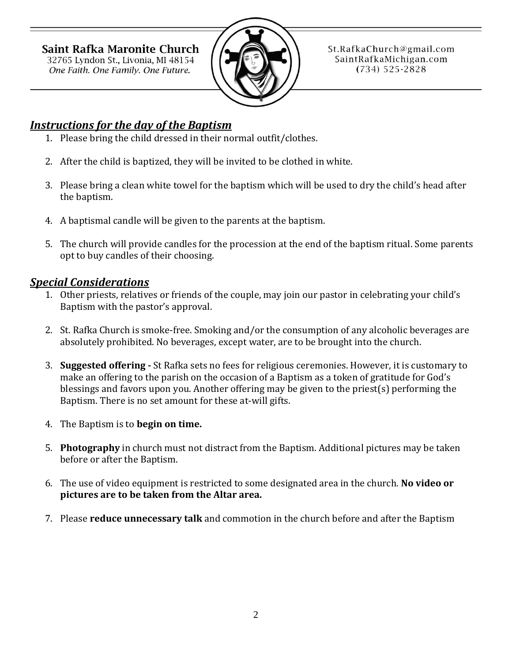Saint Rafka Maronite Church 32765 Lyndon St., Livonia, MI 48154 One Faith. One Family. One Future.



St.RafkaChurch@gmail.com SaintRafkaMichigan.com  $(734) 525 - 2828$ 

## *Instructions for the day of the Baptism*

- 1. Please bring the child dressed in their normal outfit/clothes.
- 2. After the child is baptized, they will be invited to be clothed in white.
- 3. Please bring a clean white towel for the baptism which will be used to dry the child's head after the baptism.
- 4. A baptismal candle will be given to the parents at the baptism.
- 5. The church will provide candles for the procession at the end of the baptism ritual. Some parents opt to buy candles of their choosing.

## *Special Considerations*

- 1. Other priests, relatives or friends of the couple, may join our pastor in celebrating your child's Baptism with the pastor's approval.
- 2. St. Rafka Church is smoke-free. Smoking and/or the consumption of any alcoholic beverages are absolutely prohibited. No beverages, except water, are to be brought into the church.
- 3. **Suggested offering -** St Rafka sets no fees for religious ceremonies. However, it is customary to make an offering to the parish on the occasion of a Baptism as a token of gratitude for God's blessings and favors upon you. Another offering may be given to the priest(s) performing the Baptism. There is no set amount for these at-will gifts.
- 4. The Baptism is to **begin on time.**
- 5. **Photography** in church must not distract from the Baptism. Additional pictures may be taken before or after the Baptism.
- 6. The use of video equipment is restricted to some designated area in the church. **No video or pictures are to be taken from the Altar area.**
- 7. Please **reduce unnecessary talk** and commotion in the church before and after the Baptism